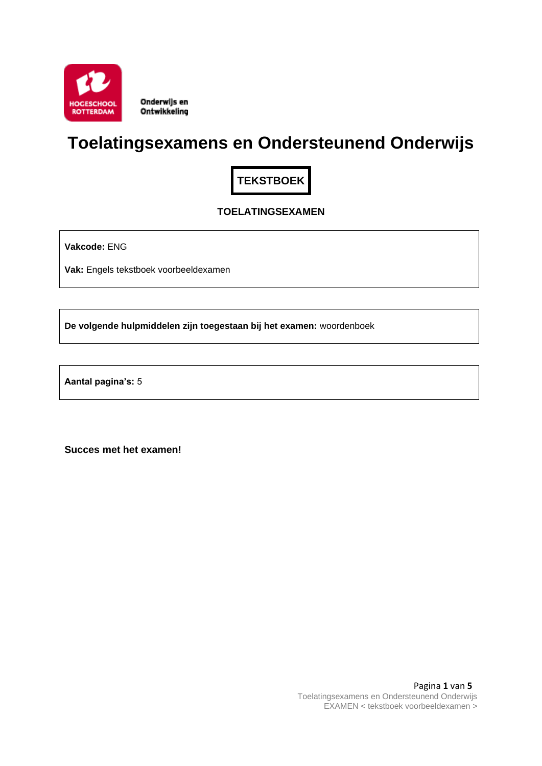

Onderwijs en Ontwikkeling

# **Toelatingsexamens en Ondersteunend Onderwijs**

**TEKSTBOEK**

# **TOELATINGSEXAMEN**

**Vakcode:** ENG

**Vak:** Engels tekstboek voorbeeldexamen

**De volgende hulpmiddelen zijn toegestaan bij het examen:** woordenboek

**Aantal pagina's:** 5

**Succes met het examen!**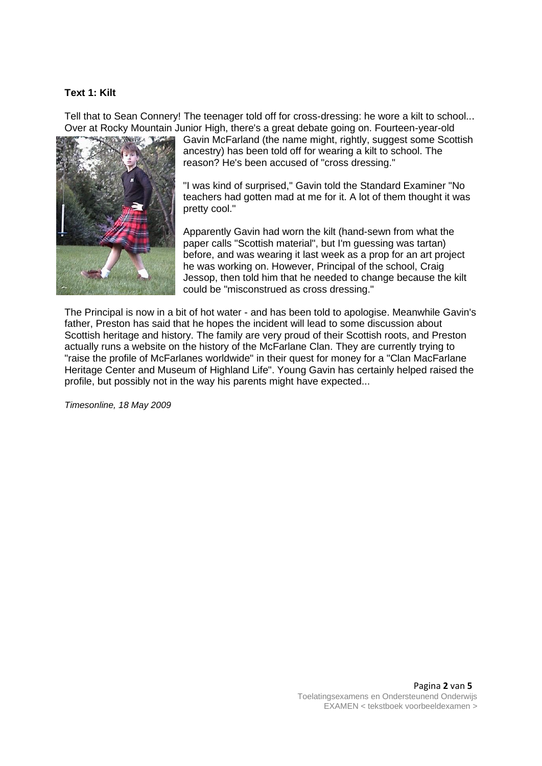#### **Text 1: Kilt**

Tell that to Sean Connery! The teenager told off for cross-dressing: he wore a kilt to school... Over at Rocky Mountain Junior High, there's a great debate going on. Fourteen-year-old



Gavin McFarland (the name might, rightly, suggest some Scottish ancestry) has been told off for wearing a kilt to school. The reason? He's been accused of "cross dressing."

"I was kind of surprised," Gavin told the Standard Examiner "No teachers had gotten mad at me for it. A lot of them thought it was pretty cool."

Apparently Gavin had worn the kilt (hand-sewn from what the paper calls "Scottish material", but I'm guessing was tartan) before, and was wearing it last week as a prop for an art project he was working on. However, Principal of the school, Craig Jessop, then told him that he needed to change because the kilt could be "misconstrued as cross dressing."

The Principal is now in a bit of hot water - and has been told to apologise. Meanwhile Gavin's father, Preston has said that he hopes the incident will lead to some discussion about Scottish heritage and history. The family are very proud of their Scottish roots, and Preston actually runs a website on the history of the McFarlane Clan. They are currently trying to "raise the profile of McFarlanes worldwide" in their quest for money for a "Clan MacFarlane Heritage Center and Museum of Highland Life". Young Gavin has certainly helped raised the profile, but possibly not in the way his parents might have expected...

*Timesonline, 18 May 2009*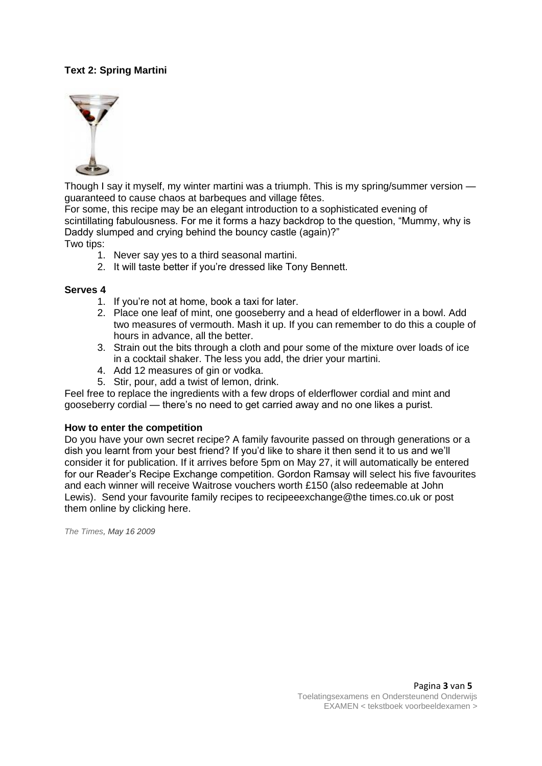# **Text 2: Spring Martini**



Though I say it myself, my winter martini was a triumph. This is my spring/summer version guaranteed to cause chaos at barbeques and village fêtes.

For some, this recipe may be an elegant introduction to a sophisticated evening of scintillating fabulousness. For me it forms a hazy backdrop to the question, "Mummy, why is Daddy slumped and crying behind the bouncy castle (again)?" Two tips:

- 1. Never say yes to a third seasonal martini.
- 2. It will taste better if you're dressed like Tony Bennett.

#### **Serves 4**

- 1. If you're not at home, book a taxi for later.
- 2. Place one leaf of mint, one gooseberry and a head of elderflower in a bowl. Add two measures of vermouth. Mash it up. If you can remember to do this a couple of hours in advance, all the better.
- 3. Strain out the bits through a cloth and pour some of the mixture over loads of ice in a cocktail shaker. The less you add, the drier your martini.
- 4. Add 12 measures of gin or vodka.
- 5. Stir, pour, add a twist of lemon, drink.

Feel free to replace the ingredients with a few drops of elderflower cordial and mint and gooseberry cordial — there's no need to get carried away and no one likes a purist.

#### **How to enter the competition**

Do you have your own secret recipe? A family favourite passed on through generations or a dish you learnt from your best friend? If you'd like to share it then send it to us and we'll consider it for publication. If it arrives before 5pm on May 27, it will automatically be entered for our Reader's Recipe Exchange competition. Gordon Ramsay will select his five favourites and each winner will receive Waitrose vouchers worth £150 (also redeemable at John Lewis). Send your favourite family recipes to recipeeexchange@the times.co.uk or post them online by clicking here.

*The Times, May 16 2009*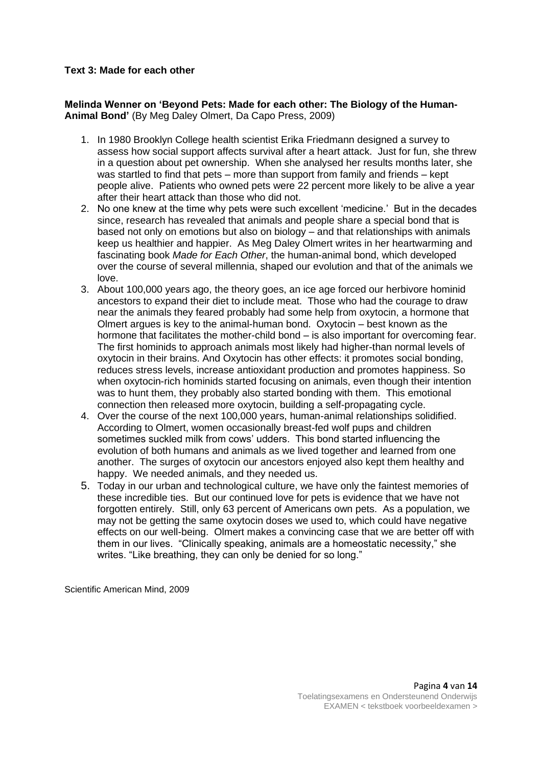### **Text 3: Made for each other**

**Melinda Wenner on 'Beyond Pets: Made for each other: The Biology of the Human-Animal Bond'** (By Meg Daley Olmert, Da Capo Press, 2009)

- 1. In 1980 Brooklyn College health scientist Erika Friedmann designed a survey to assess how social support affects survival after a heart attack. Just for fun, she threw in a question about pet ownership. When she analysed her results months later, she was startled to find that pets – more than support from family and friends – kept people alive. Patients who owned pets were 22 percent more likely to be alive a year after their heart attack than those who did not.
- 2. No one knew at the time why pets were such excellent 'medicine.' But in the decades since, research has revealed that animals and people share a special bond that is based not only on emotions but also on biology – and that relationships with animals keep us healthier and happier. As Meg Daley Olmert writes in her heartwarming and fascinating book *Made for Each Other*, the human-animal bond, which developed over the course of several millennia, shaped our evolution and that of the animals we love.
- 3. About 100,000 years ago, the theory goes, an ice age forced our herbivore hominid ancestors to expand their diet to include meat. Those who had the courage to draw near the animals they feared probably had some help from oxytocin, a hormone that Olmert argues is key to the animal-human bond. Oxytocin – best known as the hormone that facilitates the mother-child bond – is also important for overcoming fear. The first hominids to approach animals most likely had higher-than normal levels of oxytocin in their brains. And Oxytocin has other effects: it promotes social bonding, reduces stress levels, increase antioxidant production and promotes happiness. So when oxytocin-rich hominids started focusing on animals, even though their intention was to hunt them, they probably also started bonding with them. This emotional connection then released more oxytocin, building a self-propagating cycle.
- 4. Over the course of the next 100,000 years, human-animal relationships solidified. According to Olmert, women occasionally breast-fed wolf pups and children sometimes suckled milk from cows' udders. This bond started influencing the evolution of both humans and animals as we lived together and learned from one another. The surges of oxytocin our ancestors enjoyed also kept them healthy and happy. We needed animals, and they needed us.
- 5. Today in our urban and technological culture, we have only the faintest memories of these incredible ties. But our continued love for pets is evidence that we have not forgotten entirely. Still, only 63 percent of Americans own pets. As a population, we may not be getting the same oxytocin doses we used to, which could have negative effects on our well-being. Olmert makes a convincing case that we are better off with them in our lives. "Clinically speaking, animals are a homeostatic necessity," she writes. "Like breathing, they can only be denied for so long."

Scientific American Mind, 2009